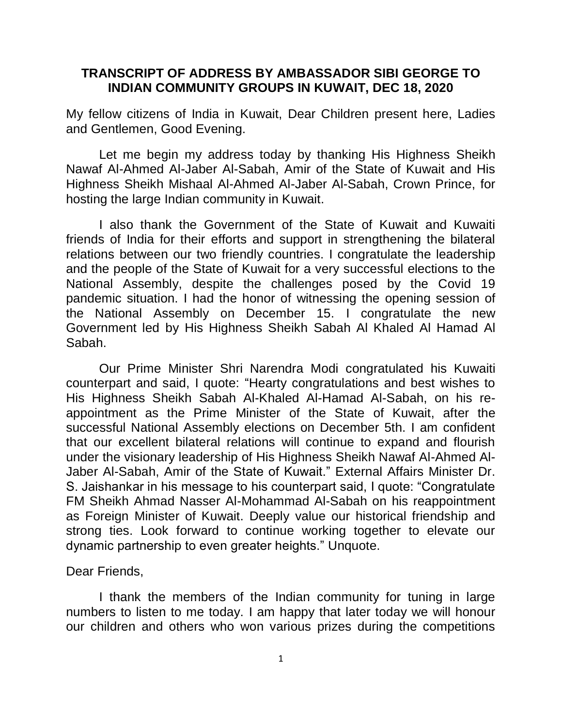## **TRANSCRIPT OF ADDRESS BY AMBASSADOR SIBI GEORGE TO INDIAN COMMUNITY GROUPS IN KUWAIT, DEC 18, 2020**

My fellow citizens of India in Kuwait, Dear Children present here, Ladies and Gentlemen, Good Evening.

Let me begin my address today by thanking His Highness Sheikh Nawaf Al-Ahmed Al-Jaber Al-Sabah, Amir of the State of Kuwait and His Highness Sheikh Mishaal Al-Ahmed Al-Jaber Al-Sabah, Crown Prince, for hosting the large Indian community in Kuwait.

I also thank the Government of the State of Kuwait and Kuwaiti friends of India for their efforts and support in strengthening the bilateral relations between our two friendly countries. I congratulate the leadership and the people of the State of Kuwait for a very successful elections to the National Assembly, despite the challenges posed by the Covid 19 pandemic situation. I had the honor of witnessing the opening session of the National Assembly on December 15. I congratulate the new Government led by His Highness Sheikh Sabah Al Khaled Al Hamad Al Sabah.

Our Prime Minister Shri Narendra Modi congratulated his Kuwaiti counterpart and said, I quote: "Hearty congratulations and best wishes to His Highness Sheikh Sabah Al-Khaled Al-Hamad Al-Sabah, on his reappointment as the Prime Minister of the State of Kuwait, after the successful National Assembly elections on December 5th. I am confident that our excellent bilateral relations will continue to expand and flourish under the visionary leadership of His Highness Sheikh Nawaf Al-Ahmed Al-Jaber Al-Sabah, Amir of the State of Kuwait." External Affairs Minister Dr. S. Jaishankar in his message to his counterpart said, I quote: "Congratulate FM Sheikh Ahmad Nasser Al-Mohammad Al-Sabah on his reappointment as Foreign Minister of Kuwait. Deeply value our historical friendship and strong ties. Look forward to continue working together to elevate our dynamic partnership to even greater heights." Unquote.

Dear Friends,

I thank the members of the Indian community for tuning in large numbers to listen to me today. I am happy that later today we will honour our children and others who won various prizes during the competitions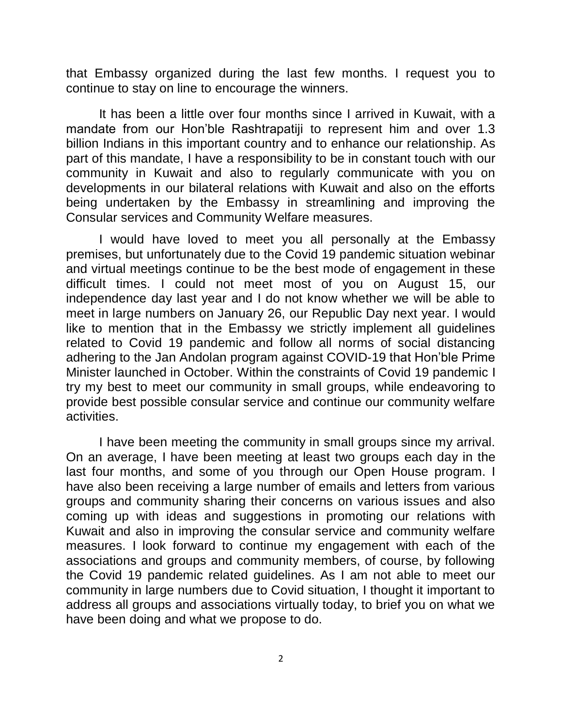that Embassy organized during the last few months. I request you to continue to stay on line to encourage the winners.

It has been a little over four months since I arrived in Kuwait, with a mandate from our Hon'ble Rashtrapatiji to represent him and over 1.3 billion Indians in this important country and to enhance our relationship. As part of this mandate, I have a responsibility to be in constant touch with our community in Kuwait and also to regularly communicate with you on developments in our bilateral relations with Kuwait and also on the efforts being undertaken by the Embassy in streamlining and improving the Consular services and Community Welfare measures.

I would have loved to meet you all personally at the Embassy premises, but unfortunately due to the Covid 19 pandemic situation webinar and virtual meetings continue to be the best mode of engagement in these difficult times. I could not meet most of you on August 15, our independence day last year and I do not know whether we will be able to meet in large numbers on January 26, our Republic Day next year. I would like to mention that in the Embassy we strictly implement all guidelines related to Covid 19 pandemic and follow all norms of social distancing adhering to the Jan Andolan program against COVID-19 that Hon'ble Prime Minister launched in October. Within the constraints of Covid 19 pandemic I try my best to meet our community in small groups, while endeavoring to provide best possible consular service and continue our community welfare activities.

I have been meeting the community in small groups since my arrival. On an average, I have been meeting at least two groups each day in the last four months, and some of you through our Open House program. I have also been receiving a large number of emails and letters from various groups and community sharing their concerns on various issues and also coming up with ideas and suggestions in promoting our relations with Kuwait and also in improving the consular service and community welfare measures. I look forward to continue my engagement with each of the associations and groups and community members, of course, by following the Covid 19 pandemic related guidelines. As I am not able to meet our community in large numbers due to Covid situation, I thought it important to address all groups and associations virtually today, to brief you on what we have been doing and what we propose to do.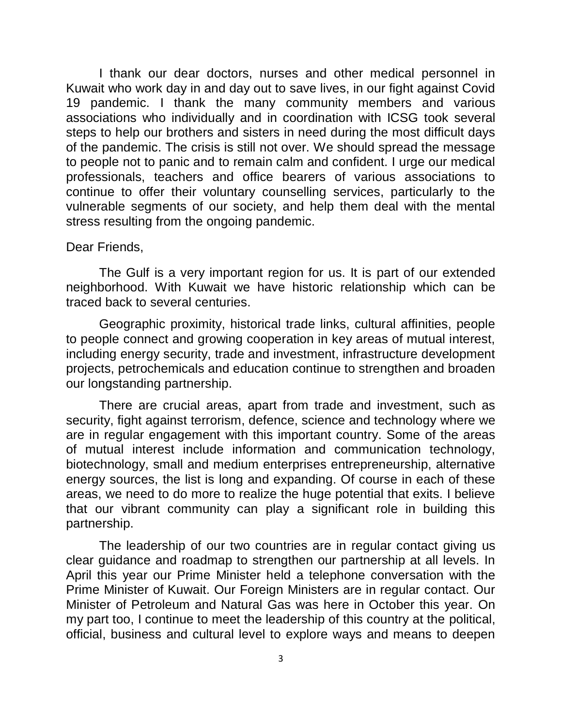I thank our dear doctors, nurses and other medical personnel in Kuwait who work day in and day out to save lives, in our fight against Covid 19 pandemic. I thank the many community members and various associations who individually and in coordination with ICSG took several steps to help our brothers and sisters in need during the most difficult days of the pandemic. The crisis is still not over. We should spread the message to people not to panic and to remain calm and confident. I urge our medical professionals, teachers and office bearers of various associations to continue to offer their voluntary counselling services, particularly to the vulnerable segments of our society, and help them deal with the mental stress resulting from the ongoing pandemic.

## Dear Friends,

The Gulf is a very important region for us. It is part of our extended neighborhood. With Kuwait we have historic relationship which can be traced back to several centuries.

Geographic proximity, historical trade links, cultural affinities, people to people connect and growing cooperation in key areas of mutual interest, including energy security, trade and investment, infrastructure development projects, petrochemicals and education continue to strengthen and broaden our longstanding partnership.

There are crucial areas, apart from trade and investment, such as security, fight against terrorism, defence, science and technology where we are in regular engagement with this important country. Some of the areas of mutual interest include information and communication technology, biotechnology, small and medium enterprises entrepreneurship, alternative energy sources, the list is long and expanding. Of course in each of these areas, we need to do more to realize the huge potential that exits. I believe that our vibrant community can play a significant role in building this partnership.

The leadership of our two countries are in regular contact giving us clear guidance and roadmap to strengthen our partnership at all levels. In April this year our Prime Minister held a telephone conversation with the Prime Minister of Kuwait. Our Foreign Ministers are in regular contact. Our Minister of Petroleum and Natural Gas was here in October this year. On my part too, I continue to meet the leadership of this country at the political, official, business and cultural level to explore ways and means to deepen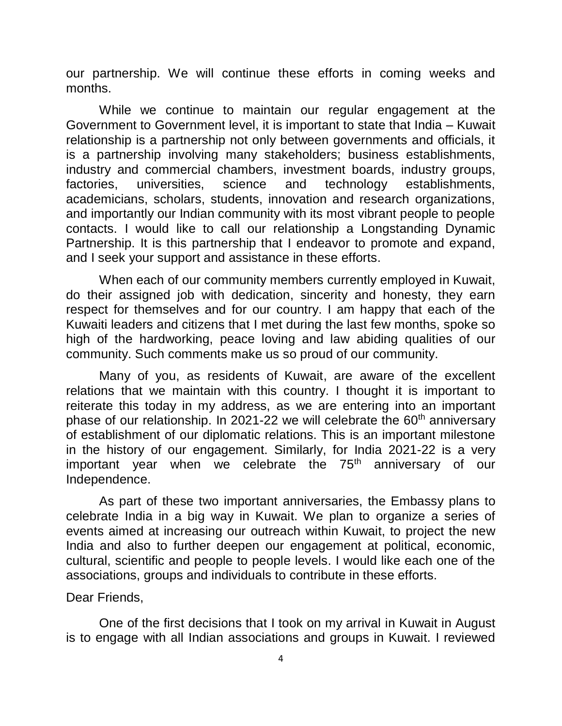our partnership. We will continue these efforts in coming weeks and months.

While we continue to maintain our regular engagement at the Government to Government level, it is important to state that India – Kuwait relationship is a partnership not only between governments and officials, it is a partnership involving many stakeholders; business establishments, industry and commercial chambers, investment boards, industry groups, factories, universities, science and technology establishments, academicians, scholars, students, innovation and research organizations, and importantly our Indian community with its most vibrant people to people contacts. I would like to call our relationship a Longstanding Dynamic Partnership. It is this partnership that I endeavor to promote and expand, and I seek your support and assistance in these efforts.

When each of our community members currently employed in Kuwait, do their assigned job with dedication, sincerity and honesty, they earn respect for themselves and for our country. I am happy that each of the Kuwaiti leaders and citizens that I met during the last few months, spoke so high of the hardworking, peace loving and law abiding qualities of our community. Such comments make us so proud of our community.

Many of you, as residents of Kuwait, are aware of the excellent relations that we maintain with this country. I thought it is important to reiterate this today in my address, as we are entering into an important phase of our relationship. In 2021-22 we will celebrate the  $60<sup>th</sup>$  anniversary of establishment of our diplomatic relations. This is an important milestone in the history of our engagement. Similarly, for India 2021-22 is a very important year when we celebrate the  $75<sup>th</sup>$  anniversary of our Independence.

As part of these two important anniversaries, the Embassy plans to celebrate India in a big way in Kuwait. We plan to organize a series of events aimed at increasing our outreach within Kuwait, to project the new India and also to further deepen our engagement at political, economic, cultural, scientific and people to people levels. I would like each one of the associations, groups and individuals to contribute in these efforts.

## Dear Friends,

One of the first decisions that I took on my arrival in Kuwait in August is to engage with all Indian associations and groups in Kuwait. I reviewed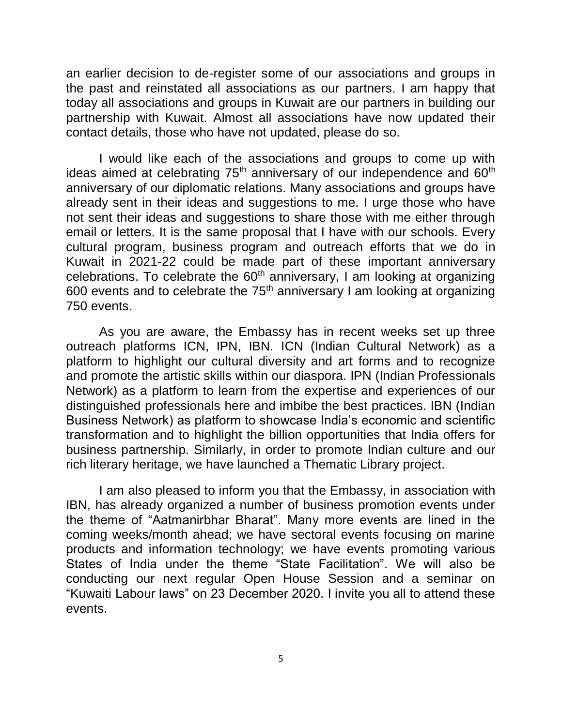an earlier decision to de-register some of our associations and groups in the past and reinstated all associations as our partners. I am happy that today all associations and groups in Kuwait are our partners in building our partnership with Kuwait. Almost all associations have now updated their contact details, those who have not updated, please do so.

I would like each of the associations and groups to come up with ideas aimed at celebrating 75<sup>th</sup> anniversary of our independence and 60<sup>th</sup> anniversary of our diplomatic relations. Many associations and groups have already sent in their ideas and suggestions to me. I urge those who have not sent their ideas and suggestions to share those with me either through email or letters. It is the same proposal that I have with our schools. Every cultural program, business program and outreach efforts that we do in Kuwait in 2021-22 could be made part of these important anniversary celebrations. To celebrate the  $60<sup>th</sup>$  anniversary, I am looking at organizing 600 events and to celebrate the  $75<sup>th</sup>$  anniversary I am looking at organizing 750 events.

As you are aware, the Embassy has in recent weeks set up three outreach platforms ICN, IPN, IBN. ICN (Indian Cultural Network) as a platform to highlight our cultural diversity and art forms and to recognize and promote the artistic skills within our diaspora. IPN (Indian Professionals Network) as a platform to learn from the expertise and experiences of our distinguished professionals here and imbibe the best practices. IBN (Indian Business Network) as platform to showcase India's economic and scientific transformation and to highlight the billion opportunities that India offers for business partnership. Similarly, in order to promote Indian culture and our rich literary heritage, we have launched a Thematic Library project.

I am also pleased to inform you that the Embassy, in association with IBN, has already organized a number of business promotion events under the theme of "Aatmanirbhar Bharat". Many more events are lined in the coming weeks/month ahead; we have sectoral events focusing on marine products and information technology; we have events promoting various States of India under the theme "State Facilitation". We will also be conducting our next regular Open House Session and a seminar on "Kuwaiti Labour laws" on 23 December 2020. I invite you all to attend these events.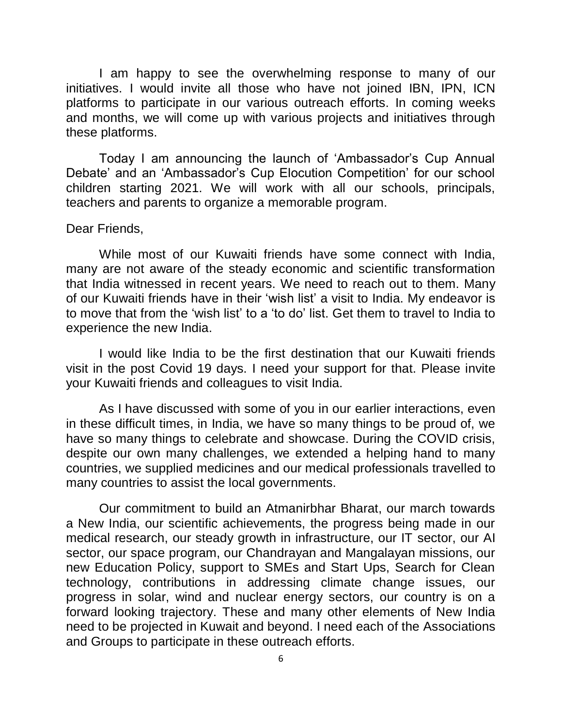I am happy to see the overwhelming response to many of our initiatives. I would invite all those who have not joined IBN, IPN, ICN platforms to participate in our various outreach efforts. In coming weeks and months, we will come up with various projects and initiatives through these platforms.

Today I am announcing the launch of 'Ambassador's Cup Annual Debate' and an 'Ambassador's Cup Elocution Competition' for our school children starting 2021. We will work with all our schools, principals, teachers and parents to organize a memorable program.

## Dear Friends,

While most of our Kuwaiti friends have some connect with India, many are not aware of the steady economic and scientific transformation that India witnessed in recent years. We need to reach out to them. Many of our Kuwaiti friends have in their 'wish list' a visit to India. My endeavor is to move that from the 'wish list' to a 'to do' list. Get them to travel to India to experience the new India.

I would like India to be the first destination that our Kuwaiti friends visit in the post Covid 19 days. I need your support for that. Please invite your Kuwaiti friends and colleagues to visit India.

As I have discussed with some of you in our earlier interactions, even in these difficult times, in India, we have so many things to be proud of, we have so many things to celebrate and showcase. During the COVID crisis, despite our own many challenges, we extended a helping hand to many countries, we supplied medicines and our medical professionals travelled to many countries to assist the local governments.

Our commitment to build an Atmanirbhar Bharat, our march towards a New India, our scientific achievements, the progress being made in our medical research, our steady growth in infrastructure, our IT sector, our AI sector, our space program, our Chandrayan and Mangalayan missions, our new Education Policy, support to SMEs and Start Ups, Search for Clean technology, contributions in addressing climate change issues, our progress in solar, wind and nuclear energy sectors, our country is on a forward looking trajectory. These and many other elements of New India need to be projected in Kuwait and beyond. I need each of the Associations and Groups to participate in these outreach efforts.